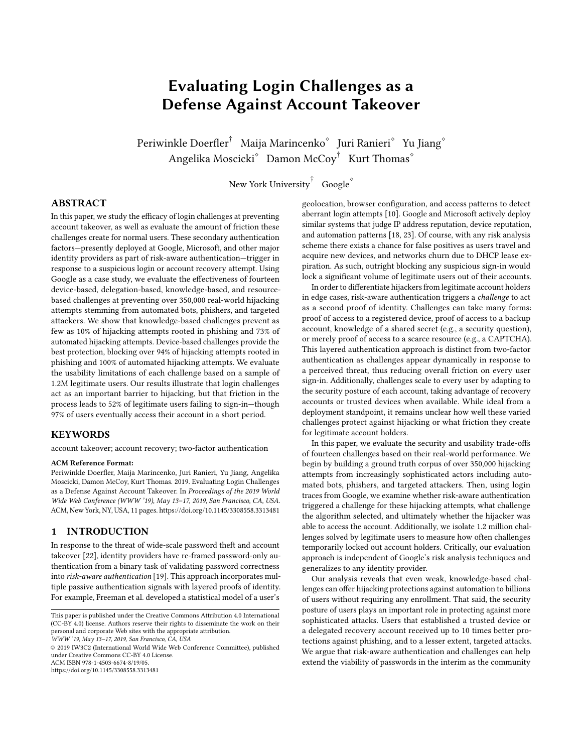# Evaluating Login Challenges as a Defense Against Account Takeover

Periwinkle Doerfler $^\dagger$  Maija Marincenko $^\circ$  Juri Ranieri $^\circ$  Yu Jiang $^\circ$ Angelika Moscicki $^{\circ}$   $\,$  Damon McCoy $^{\dagger}$   $\,$  Kurt Thomas $^{\circ}$ 

New York University $^\dagger$  Google $^\diamond$ 

## ABSTRACT

In this paper, we study the efficacy of login challenges at preventing account takeover, as well as evaluate the amount of friction these challenges create for normal users. These secondary authentication factors—presently deployed at Google, Microsoft, and other major identity providers as part of risk-aware authentication—trigger in response to a suspicious login or account recovery attempt. Using Google as a case study, we evaluate the effectiveness of fourteen device-based, delegation-based, knowledge-based, and resourcebased challenges at preventing over 350,000 real-world hijacking attempts stemming from automated bots, phishers, and targeted attackers. We show that knowledge-based challenges prevent as few as 10% of hijacking attempts rooted in phishing and 73% of automated hijacking attempts. Device-based challenges provide the best protection, blocking over 94% of hijacking attempts rooted in phishing and 100% of automated hijacking attempts. We evaluate the usability limitations of each challenge based on a sample of 1.2M legitimate users. Our results illustrate that login challenges act as an important barrier to hijacking, but that friction in the process leads to 52% of legitimate users failing to sign-in—though 97% of users eventually access their account in a short period.

### **KEYWORDS**

account takeover; account recovery; two-factor authentication

#### ACM Reference Format:

Periwinkle Doerfler, Maija Marincenko, Juri Ranieri, Yu Jiang, Angelika Moscicki, Damon McCoy, Kurt Thomas. 2019. Evaluating Login Challenges as a Defense Against Account Takeover. In Proceedings of the 2019 World Wide Web Conference (WWW '19), May 13–17, 2019, San Francisco, CA, USA. ACM, New York, NY, USA, [11](#page-10-0) pages.<https://doi.org/10.1145/3308558.3313481>

#### 1 INTRODUCTION

In response to the threat of wide-scale password theft and account takeover [\[22\]](#page-10-1), identity providers have re-framed password-only authentication from a binary task of validating password correctness into risk-aware authentication [\[19\]](#page-10-2). This approach incorporates multiple passive authentication signals with layered proofs of identity. For example, Freeman et al. developed a statistical model of a user's

© 2019 IW3C2 (International World Wide Web Conference Committee), published under Creative Commons CC-BY 4.0 License. ACM ISBN 978-1-4503-6674-8/19/05.

<https://doi.org/10.1145/3308558.3313481>

geolocation, browser configuration, and access patterns to detect aberrant login attempts [\[10\]](#page-10-3). Google and Microsoft actively deploy similar systems that judge IP address reputation, device reputation, and automation patterns [\[18,](#page-10-4) [23\]](#page-10-5). Of course, with any risk analysis scheme there exists a chance for false positives as users travel and acquire new devices, and networks churn due to DHCP lease expiration. As such, outright blocking any suspicious sign-in would lock a significant volume of legitimate users out of their accounts.

In order to differentiate hijackers from legitimate account holders in edge cases, risk-aware authentication triggers a challenge to act as a second proof of identity. Challenges can take many forms: proof of access to a registered device, proof of access to a backup account, knowledge of a shared secret (e.g., a security question), or merely proof of access to a scarce resource (e.g., a CAPTCHA). This layered authentication approach is distinct from two-factor authentication as challenges appear dynamically in response to a perceived threat, thus reducing overall friction on every user sign-in. Additionally, challenges scale to every user by adapting to the security posture of each account, taking advantage of recovery accounts or trusted devices when available. While ideal from a deployment standpoint, it remains unclear how well these varied challenges protect against hijacking or what friction they create for legitimate account holders.

In this paper, we evaluate the security and usability trade-offs of fourteen challenges based on their real-world performance. We begin by building a ground truth corpus of over 350,000 hijacking attempts from increasingly sophisticated actors including automated bots, phishers, and targeted attackers. Then, using login traces from Google, we examine whether risk-aware authentication triggered a challenge for these hijacking attempts, what challenge the algorithm selected, and ultimately whether the hijacker was able to access the account. Additionally, we isolate 1.2 million challenges solved by legitimate users to measure how often challenges temporarily locked out account holders. Critically, our evaluation approach is independent of Google's risk analysis techniques and generalizes to any identity provider.

Our analysis reveals that even weak, knowledge-based challenges can offer hijacking protections against automation to billions of users without requiring any enrollment. That said, the security posture of users plays an important role in protecting against more sophisticated attacks. Users that established a trusted device or a delegated recovery account received up to 10 times better protections against phishing, and to a lesser extent, targeted attacks. We argue that risk-aware authentication and challenges can help extend the viability of passwords in the interim as the community

This paper is published under the Creative Commons Attribution 4.0 International (CC-BY 4.0) license. Authors reserve their rights to disseminate the work on their personal and corporate Web sites with the appropriate attribution.

WWW '19, May 13–17, 2019, San Francisco, CA, USA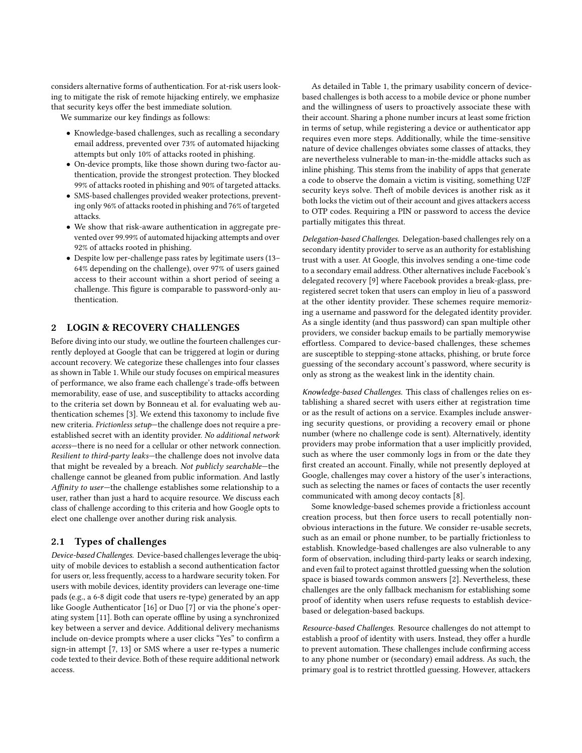considers alternative forms of authentication. For at-risk users looking to mitigate the risk of remote hijacking entirely, we emphasize that security keys offer the best immediate solution.

We summarize our key findings as follows:

- Knowledge-based challenges, such as recalling a secondary email address, prevented over 73% of automated hijacking attempts but only 10% of attacks rooted in phishing.
- On-device prompts, like those shown during two-factor authentication, provide the strongest protection. They blocked 99% of attacks rooted in phishing and 90% of targeted attacks.
- SMS-based challenges provided weaker protections, preventing only 96% of attacks rooted in phishing and 76% of targeted attacks.
- We show that risk-aware authentication in aggregate prevented over 99.99% of automated hijacking attempts and over 92% of attacks rooted in phishing.
- Despite low per-challenge pass rates by legitimate users (13– 64% depending on the challenge), over 97% of users gained access to their account within a short period of seeing a challenge. This figure is comparable to password-only authentication.

## 2 LOGIN & RECOVERY CHALLENGES

Before diving into our study, we outline the fourteen challenges currently deployed at Google that can be triggered at login or during account recovery. We categorize these challenges into four classes as shown in Table [1.](#page-2-0) While our study focuses on empirical measures of performance, we also frame each challenge's trade-offs between memorability, ease of use, and susceptibility to attacks according to the criteria set down by Bonneau et al. for evaluating web authentication schemes [\[3\]](#page-10-6). We extend this taxonomy to include five new criteria. Frictionless setup—the challenge does not require a preestablished secret with an identity provider. No additional network access—there is no need for a cellular or other network connection. Resilient to third-party leaks—the challenge does not involve data that might be revealed by a breach. Not publicly searchable—the challenge cannot be gleaned from public information. And lastly Affinity to user—the challenge establishes some relationship to a user, rather than just a hard to acquire resource. We discuss each class of challenge according to this criteria and how Google opts to elect one challenge over another during risk analysis.

#### 2.1 Types of challenges

Device-based Challenges. Device-based challenges leverage the ubiquity of mobile devices to establish a second authentication factor for users or, less frequently, access to a hardware security token. For users with mobile devices, identity providers can leverage one-time pads (e.g., a 6-8 digit code that users re-type) generated by an app like Google Authenticator [\[16\]](#page-10-7) or Duo [\[7\]](#page-10-8) or via the phone's operating system [\[11\]](#page-10-9). Both can operate offline by using a synchronized key between a server and device. Additional delivery mechanisms include on-device prompts where a user clicks "Yes" to confirm a sign-in attempt [\[7,](#page-10-8) [13\]](#page-10-10) or SMS where a user re-types a numeric code texted to their device. Both of these require additional network access.

As detailed in Table [1,](#page-2-0) the primary usability concern of devicebased challenges is both access to a mobile device or phone number and the willingness of users to proactively associate these with their account. Sharing a phone number incurs at least some friction in terms of setup, while registering a device or authenticator app requires even more steps. Additionally, while the time-sensitive nature of device challenges obviates some classes of attacks, they are nevertheless vulnerable to man-in-the-middle attacks such as inline phishing. This stems from the inability of apps that generate a code to observe the domain a victim is visiting, something U2F security keys solve. Theft of mobile devices is another risk as it both locks the victim out of their account and gives attackers access to OTP codes. Requiring a PIN or password to access the device partially mitigates this threat.

Delegation-based Challenges. Delegation-based challenges rely on a secondary identity provider to serve as an authority for establishing trust with a user. At Google, this involves sending a one-time code to a secondary email address. Other alternatives include Facebook's delegated recovery [\[9\]](#page-10-11) where Facebook provides a break-glass, preregistered secret token that users can employ in lieu of a password at the other identity provider. These schemes require memorizing a username and password for the delegated identity provider. As a single identity (and thus password) can span multiple other providers, we consider backup emails to be partially memorywise effortless. Compared to device-based challenges, these schemes are susceptible to stepping-stone attacks, phishing, or brute force guessing of the secondary account's password, where security is only as strong as the weakest link in the identity chain.

Knowledge-based Challenges. This class of challenges relies on establishing a shared secret with users either at registration time or as the result of actions on a service. Examples include answering security questions, or providing a recovery email or phone number (where no challenge code is sent). Alternatively, identity providers may probe information that a user implicitly provided, such as where the user commonly logs in from or the date they first created an account. Finally, while not presently deployed at Google, challenges may cover a history of the user's interactions, such as selecting the names or faces of contacts the user recently communicated with among decoy contacts [\[8\]](#page-10-12).

Some knowledge-based schemes provide a frictionless account creation process, but then force users to recall potentially nonobvious interactions in the future. We consider re-usable secrets, such as an email or phone number, to be partially frictionless to establish. Knowledge-based challenges are also vulnerable to any form of observation, including third-party leaks or search indexing, and even fail to protect against throttled guessing when the solution space is biased towards common answers [\[2\]](#page-10-13). Nevertheless, these challenges are the only fallback mechanism for establishing some proof of identity when users refuse requests to establish devicebased or delegation-based backups.

Resource-based Challenges. Resource challenges do not attempt to establish a proof of identity with users. Instead, they offer a hurdle to prevent automation. These challenges include confirming access to any phone number or (secondary) email address. As such, the primary goal is to restrict throttled guessing. However, attackers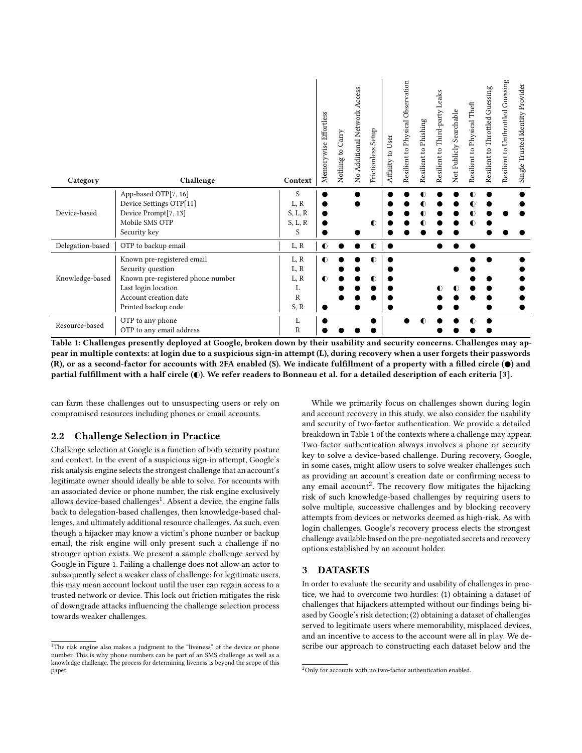<span id="page-2-0"></span>

| Category         | Challenge                                                                                                                                                   | Context                                           | Memorywise Effortless  | Nothing to Carry | No Additional Network Access | Frictionless Setup | User<br>$\mathtt{Q}$<br><b>Affinity</b> | Resilient to Physical Observation | Resilient to Phishing | Resilient to Third-party Leaks | Not Publicly Searchable | Resilient to Physical Theft | Resilient to Throttled Guessing | Resilient to Unthrottled Guessing | Single Trusted Identity Provider |
|------------------|-------------------------------------------------------------------------------------------------------------------------------------------------------------|---------------------------------------------------|------------------------|------------------|------------------------------|--------------------|-----------------------------------------|-----------------------------------|-----------------------|--------------------------------|-------------------------|-----------------------------|---------------------------------|-----------------------------------|----------------------------------|
| Device-based     | App-based OTP[7, 16]<br>Device Settings OTP[11]<br>Device Prompt[7, 13]<br>Mobile SMS OTP<br>Security key                                                   | S<br>L, R<br>S, L, R<br>S, L, R<br>S              |                        |                  |                              | $\bullet$          |                                         |                                   |                       |                                |                         |                             |                                 |                                   |                                  |
| Delegation-based | OTP to backup email                                                                                                                                         | L, R                                              | $\bullet$              |                  |                              | $\bullet$          | $\bullet$                               |                                   |                       |                                |                         |                             |                                 |                                   |                                  |
| Knowledge-based  | Known pre-registered email<br>Security question<br>Known pre-registered phone number<br>Last login location<br>Account creation date<br>Printed backup code | L, R<br>L, R<br>L, R<br>L<br>$\mathbb{R}$<br>S, R | $\bullet$<br>$\bullet$ |                  |                              | 0                  |                                         |                                   |                       |                                |                         |                             |                                 |                                   |                                  |
| Resource-based   | OTP to any phone<br>OTP to any email address                                                                                                                | L<br>R                                            |                        |                  |                              |                    |                                         |                                   |                       |                                |                         |                             |                                 |                                   |                                  |

Table 1: Challenges presently deployed at Google, broken down by their usability and security concerns. Challenges may appear in multiple contexts: at login due to a suspicious sign-in attempt (L), during recovery when a user forgets their passwords  $(R)$ , or as a second-factor for accounts with 2FA enabled (S). We indicate fulfillment of a property with a filled circle  $\left(\bullet\right)$  and partial fulfillment with a half circle  $(\mathbb{C})$ . We refer readers to Bonneau et al. for a detailed description of each criteria [\[3\]](#page-10-6).

can farm these challenges out to unsuspecting users or rely on compromised resources including phones or email accounts.

#### 2.2 Challenge Selection in Practice

Challenge selection at Google is a function of both security posture and context. In the event of a suspicious sign-in attempt, Google's risk analysis engine selects the strongest challenge that an account's legitimate owner should ideally be able to solve. For accounts with an associated device or phone number, the risk engine exclusively allows device-based challenges<sup>[1](#page-2-1)</sup>. Absent a device, the engine falls back to delegation-based challenges, then knowledge-based challenges, and ultimately additional resource challenges. As such, even though a hijacker may know a victim's phone number or backup email, the risk engine will only present such a challenge if no stronger option exists. We present a sample challenge served by Google in Figure [1.](#page-3-0) Failing a challenge does not allow an actor to subsequently select a weaker class of challenge; for legitimate users, this may mean account lockout until the user can regain access to a trusted network or device. This lock out friction mitigates the risk of downgrade attacks influencing the challenge selection process towards weaker challenges.

While we primarily focus on challenges shown during login and account recovery in this study, we also consider the usability and security of two-factor authentication. We provide a detailed breakdown in Table [1](#page-2-0) of the contexts where a challenge may appear. Two-factor authentication always involves a phone or security key to solve a device-based challenge. During recovery, Google, in some cases, might allow users to solve weaker challenges such as providing an account's creation date or confirming access to any email  $account<sup>2</sup>$  $account<sup>2</sup>$  $account<sup>2</sup>$ . The recovery flow mitigates the hijacking risk of such knowledge-based challenges by requiring users to solve multiple, successive challenges and by blocking recovery attempts from devices or networks deemed as high-risk. As with login challenges, Google's recovery process elects the strongest challenge available based on the pre-negotiated secrets and recovery options established by an account holder.

## <span id="page-2-3"></span>3 DATASETS

In order to evaluate the security and usability of challenges in practice, we had to overcome two hurdles: (1) obtaining a dataset of challenges that hijackers attempted without our findings being biased by Google's risk detection; (2) obtaining a dataset of challenges served to legitimate users where memorability, misplaced devices, and an incentive to access to the account were all in play. We describe our approach to constructing each dataset below and the

<span id="page-2-1"></span> $1$ <sup>1</sup>The risk engine also makes a judgment to the "liveness" of the device or phone number. This is why phone numbers can be part of an SMS challenge as well as a knowledge challenge. The process for determining liveness is beyond the scope of this paper.

<span id="page-2-2"></span><sup>&</sup>lt;sup>2</sup>Only for accounts with no two-factor authentication enabled.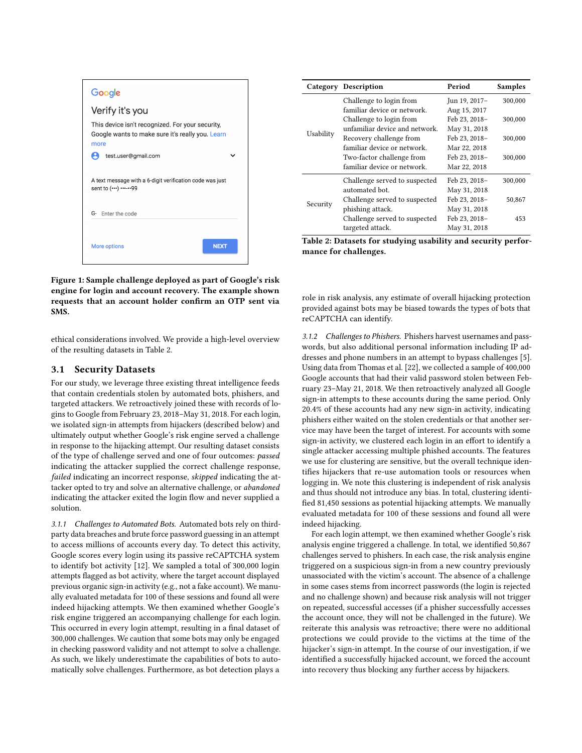<span id="page-3-0"></span>

Figure 1: Sample challenge deployed as part of Google's risk engine for login and account recovery. The example shown requests that an account holder confirm an OTP sent via SMS.

ethical considerations involved. We provide a high-level overview of the resulting datasets in Table [2.](#page-3-1)

#### 3.1 Security Datasets

For our study, we leverage three existing threat intelligence feeds that contain credentials stolen by automated bots, phishers, and targeted attackers. We retroactively joined these with records of logins to Google from February 23, 2018–May 31, 2018. For each login, we isolated sign-in attempts from hijackers (described below) and ultimately output whether Google's risk engine served a challenge in response to the hijacking attempt. Our resulting dataset consists of the type of challenge served and one of four outcomes: passed indicating the attacker supplied the correct challenge response, failed indicating an incorrect response, skipped indicating the attacker opted to try and solve an alternative challenge, or abandoned indicating the attacker exited the login flow and never supplied a solution.

3.1.1 Challenges to Automated Bots. Automated bots rely on thirdparty data breaches and brute force password guessing in an attempt to access millions of accounts every day. To detect this activity, Google scores every login using its passive reCAPTCHA system to identify bot activity [\[12\]](#page-10-14). We sampled a total of 300,000 login attempts flagged as bot activity, where the target account displayed previous organic sign-in activity (e.g., not a fake account). We manually evaluated metadata for 100 of these sessions and found all were indeed hijacking attempts. We then examined whether Google's risk engine triggered an accompanying challenge for each login. This occurred in every login attempt, resulting in a final dataset of 300,000 challenges. We caution that some bots may only be engaged in checking password validity and not attempt to solve a challenge. As such, we likely underestimate the capabilities of bots to automatically solve challenges. Furthermore, as bot detection plays a

<span id="page-3-1"></span>

|           | Category Description           | Period        | <b>Samples</b> |
|-----------|--------------------------------|---------------|----------------|
|           | Challenge to login from        | Jun 19, 2017- | 300,000        |
| Usability | familiar device or network.    | Aug 15, 2017  |                |
|           | Challenge to login from        | Feb 23, 2018- | 300,000        |
|           | unfamiliar device and network. | May 31, 2018  |                |
|           | Recovery challenge from        | Feb 23, 2018- | 300,000        |
|           | familiar device or network.    | Mar 22, 2018  |                |
|           | Two-factor challenge from      | Feb 23, 2018- | 300,000        |
|           | familiar device or network.    | Mar 22, 2018  |                |
|           | Challenge served to suspected  | Feb 23, 2018- | 300,000        |
|           | automated bot.                 | May 31, 2018  |                |
|           | Challenge served to suspected  | Feb 23, 2018- | 50,867         |
| Security  | phishing attack.               | May 31, 2018  |                |
|           | Challenge served to suspected  | Feb 23, 2018- | 453            |
|           | targeted attack.               | May 31, 2018  |                |

Table 2: Datasets for studying usability and security performance for challenges.

role in risk analysis, any estimate of overall hijacking protection provided against bots may be biased towards the types of bots that reCAPTCHA can identify.

3.1.2 Challenges to Phishers. Phishers harvest usernames and passwords, but also additional personal information including IP addresses and phone numbers in an attempt to bypass challenges [\[5\]](#page-10-15). Using data from Thomas et al. [\[22\]](#page-10-1), we collected a sample of 400,000 Google accounts that had their valid password stolen between February 23–May 21, 2018. We then retroactively analyzed all Google sign-in attempts to these accounts during the same period. Only 20.4% of these accounts had any new sign-in activity, indicating phishers either waited on the stolen credentials or that another service may have been the target of interest. For accounts with some sign-in activity, we clustered each login in an effort to identify a single attacker accessing multiple phished accounts. The features we use for clustering are sensitive, but the overall technique identifies hijackers that re-use automation tools or resources when logging in. We note this clustering is independent of risk analysis and thus should not introduce any bias. In total, clustering identified 81,450 sessions as potential hijacking attempts. We manually evaluated metadata for 100 of these sessions and found all were indeed hijacking.

For each login attempt, we then examined whether Google's risk analysis engine triggered a challenge. In total, we identified 50,867 challenges served to phishers. In each case, the risk analysis engine triggered on a suspicious sign-in from a new country previously unassociated with the victim's account. The absence of a challenge in some cases stems from incorrect passwords (the login is rejected and no challenge shown) and because risk analysis will not trigger on repeated, successful accesses (if a phisher successfully accesses the account once, they will not be challenged in the future). We reiterate this analysis was retroactive; there were no additional protections we could provide to the victims at the time of the hijacker's sign-in attempt. In the course of our investigation, if we identified a successfully hijacked account, we forced the account into recovery thus blocking any further access by hijackers.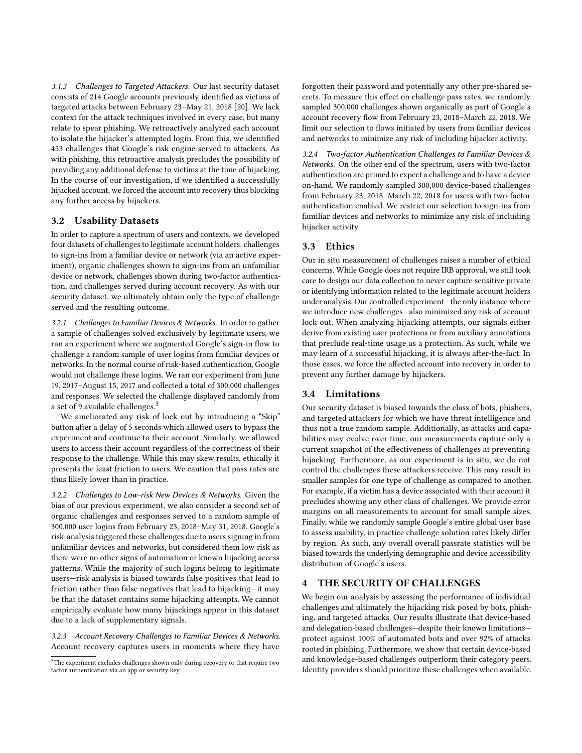3.1.3 Challenges to Targeted Attackers. Our last security dataset consists of 214 Google accounts previously identified as victims of targeted attacks between February 23–May 21, 2018 [\[20\]](#page-10-16). We lack context for the attack techniques involved in every case, but many relate to spear phishing. We retroactively analyzed each account to isolate the hijacker's attempted login. From this, we identified 453 challenges that Google's risk engine served to attackers. As with phishing, this retroactive analysis precludes the possibility of providing any additional defense to victims at the time of hijacking. In the course of our investigation, if we identified a successfully hijacked account, we forced the account into recovery thus blocking any further access by hijackers.

## 3.2 Usability Datasets

In order to capture a spectrum of users and contexts, we developed four datasets of challenges to legitimate account holders: challenges to sign-ins from a familiar device or network (via an active experiment), organic challenges shown to sign-ins from an unfamiliar device or network, challenges shown during two-factor authentication, and challenges served during account recovery. As with our security dataset, we ultimately obtain only the type of challenge served and the resulting outcome.

3.2.1 Challenges to Familiar Devices & Networks. In order to gather a sample of challenges solved exclusively by legitimate users, we ran an experiment where we augmented Google's sign-in flow to challenge a random sample of user logins from familiar devices or networks. In the normal course of risk-based authentication, Google would not challenge these logins. We ran our experiment from June 19, 2017–August 15, 2017 and collected a total of 300,000 challenges and responses. We selected the challenge displayed randomly from a set of 9 available challenges.<sup>[3](#page-4-0)</sup>

We ameliorated any risk of lock out by introducing a "Skip" button after a delay of 5 seconds which allowed users to bypass the experiment and continue to their account. Similarly, we allowed users to access their account regardless of the correctness of their response to the challenge. While this may skew results, ethically it presents the least friction to users. We caution that pass rates are thus likely lower than in practice.

3.2.2 Challenges to Low-risk New Devices & Networks. Given the bias of our previous experiment, we also consider a second set of organic challenges and responses served to a random sample of 300,000 user logins from February 23, 2018–May 31, 2018. Google's risk-analysis triggered these challenges due to users signing in from unfamiliar devices and networks, but considered them low risk as there were no other signs of automation or known hijacking access patterns. While the majority of such logins belong to legitimate users—risk analysis is biased towards false positives that lead to friction rather than false negatives that lead to hijacking—it may be that the dataset contains some hijacking attempts. We cannot empirically evaluate how many hijackings appear in this dataset due to a lack of supplementary signals.

3.2.3 Account Recovery Challenges to Familiar Devices & Networks. Account recovery captures users in moments where they have

forgotten their password and potentially any other pre-shared secrets. To measure this effect on challenge pass rates, we randomly sampled 300,000 challenges shown organically as part of Google's account recovery flow from February 23, 2018–March 22, 2018. We limit our selection to flows initiated by users from familiar devices and networks to minimize any risk of including hijacker activity.

3.2.4 Two-factor Authentication Challenges to Familiar Devices & Networks. On the other end of the spectrum, users with two-factor authentication are primed to expect a challenge and to have a device on-hand. We randomly sampled 300,000 device-based challenges from February 23, 2018–March 22, 2018 for users with two-factor authentication enabled. We restrict our selection to sign-ins from familiar devices and networks to minimize any risk of including hijacker activity.

## 3.3 Ethics

Our in situ measurement of challenges raises a number of ethical concerns. While Google does not require IRB approval, we still took care to design our data collection to never capture sensitive private or identifying information related to the legitimate account holders under analysis. Our controlled experiment—the only instance where we introduce new challenges—also minimized any risk of account lock out. When analyzing hijacking attempts, our signals either derive from existing user protections or from auxiliary annotations that preclude real-time usage as a protection. As such, while we may learn of a successful hijacking, it is always after-the-fact. In those cases, we force the affected account into recovery in order to prevent any further damage by hijackers.

#### 3.4 Limitations

Our security dataset is biased towards the class of bots, phishers, and targeted attackers for which we have threat intelligence and thus not a true random sample. Additionally, as attacks and capabilities may evolve over time, our measurements capture only a current snapshot of the effectiveness of challenges at preventing hijacking. Furthermore, as our experiment is in situ, we do not control the challenges these attackers receive. This may result in smaller samples for one type of challenge as compared to another. For example, if a victim has a device associated with their account it precludes showing any other class of challenges. We provide error margins on all measurements to account for small sample sizes. Finally, while we randomly sample Google's entire global user base to assess usability, in practice challenge solution rates likely differ by region. As such, any overall overall passrate statistics will be biased towards the underlying demographic and device accessibility distribution of Google's users.

## 4 THE SECURITY OF CHALLENGES

We begin our analysis by assessing the performance of individual challenges and ultimately the hijacking risk posed by bots, phishing, and targeted attacks. Our results illustrate that device-based and delegation-based challenges—despite their known limitations protect against 100% of automated bots and over 92% of attacks rooted in phishing. Furthermore, we show that certain device-based and knowledge-based challenges outperform their category peers. Identity providers should prioritize these challenges when available.

<span id="page-4-0"></span><sup>&</sup>lt;sup>3</sup>The experiment excludes challenges shown only during recovery or that require two factor authentication via an app or security key.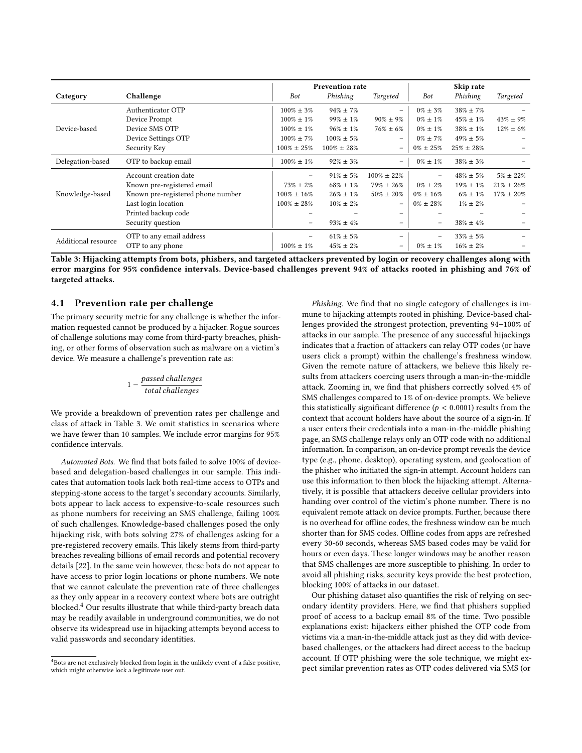<span id="page-5-0"></span>

|                     |                                   |                          | <b>Prevention rate</b> |                          | Skip rate         |                 |                 |  |  |
|---------------------|-----------------------------------|--------------------------|------------------------|--------------------------|-------------------|-----------------|-----------------|--|--|
| Category            | Challenge                         | Bot                      | Phishing               | Targeted                 | Bot               | Phishing        | Targeted        |  |  |
|                     | Authenticator OTP                 | $100\% \pm 3\%$          | $94\% \pm 7\%$         | $\overline{\phantom{m}}$ | $0\% \pm 3\%$     | $38\% \pm 7\%$  |                 |  |  |
|                     | Device Prompt                     | $100\% \pm 1\%$          | $99\% \pm 1\%$         | $90\% \pm 9\%$           | $0\% \pm 1\%$     | $45\% \pm 1\%$  | $43\% \pm 9\%$  |  |  |
| Device-based        | Device SMS OTP                    | $100\% \pm 1\%$          | $96\% \pm 1\%$         | $76\% \pm 6\%$           | $0\% \pm 1\%$     | $38\% \pm 1\%$  | $12\% \pm 6\%$  |  |  |
|                     | Device Settings OTP               | $100\% \pm 7\%$          | $100\% \pm 5\%$        | $\qquad \qquad -$        | $0\% \pm 7\%$     | $49\% \pm 5\%$  |                 |  |  |
|                     | Security Key                      | $100\% \pm 25\%$         | $100\% \pm 28\%$       | $\overline{\phantom{m}}$ | $0\% \pm 25\%$    | $25\% \pm 28\%$ |                 |  |  |
| Delegation-based    | OTP to backup email               | $100\% \pm 1\%$          | $92\% \pm 3\%$         | $\overline{\phantom{0}}$ | $0\% \pm 1\%$     | $38\% \pm 3\%$  |                 |  |  |
|                     | Account creation date             | $\qquad \qquad \qquad$   | $91\% \pm 5\%$         | $100\% \pm 22\%$         |                   | $48\% \pm 5\%$  | $5\% \pm 22\%$  |  |  |
|                     | Known pre-registered email        | $73\% \pm 2\%$           | $68\% \pm 1\%$         | $79\% \pm 26\%$          | $0\% \pm 2\%$     | $19\% \pm 1\%$  | $21\% \pm 26\%$ |  |  |
| Knowledge-based     | Known pre-registered phone number | $100\% \pm 16\%$         | $26\% \pm 1\%$         | $50\% \pm 20\%$          | $0\% \pm 16\%$    | $6\% \pm 1\%$   | $17\% \pm 20\%$ |  |  |
|                     | Last login location               | $100\% \pm 28\%$         | $10\% \pm 2\%$         | $\overline{\phantom{m}}$ | $0\% \pm 28\%$    | $1\% \pm 2\%$   |                 |  |  |
|                     | Printed backup code               |                          |                        | $\overline{\phantom{m}}$ |                   |                 |                 |  |  |
|                     | Security question                 | $\overline{\phantom{0}}$ | $93\% \pm 4\%$         |                          | $\qquad \qquad -$ | $38\% \pm 4\%$  |                 |  |  |
| Additional resource | OTP to any email address          | $\overline{\phantom{0}}$ | $61\% \pm 5\%$         | $\qquad \qquad$          |                   | $33\% \pm 5\%$  |                 |  |  |
|                     | OTP to any phone                  | $100\% \pm 1\%$          | $45\% \pm 2\%$         | $\qquad \qquad -$        | $0\% \pm 1\%$     | $16\% \pm 2\%$  |                 |  |  |

Table 3: Hijacking attempts from bots, phishers, and targeted attackers prevented by login or recovery challenges along with error margins for 95% confidence intervals. Device-based challenges prevent 94% of attacks rooted in phishing and 76% of targeted attacks.

#### 4.1 Prevention rate per challenge

The primary security metric for any challenge is whether the information requested cannot be produced by a hijacker. Rogue sources of challenge solutions may come from third-party breaches, phishing, or other forms of observation such as malware on a victim's device. We measure a challenge's prevention rate as:

$$
1 - \frac{passed\ challenges}{total\ challenges}
$$

We provide a breakdown of prevention rates per challenge and class of attack in Table [3.](#page-5-0) We omit statistics in scenarios where we have fewer than 10 samples. We include error margins for 95% confidence intervals.

Automated Bots. We find that bots failed to solve 100% of devicebased and delegation-based challenges in our sample. This indicates that automation tools lack both real-time access to OTPs and stepping-stone access to the target's secondary accounts. Similarly, bots appear to lack access to expensive-to-scale resources such as phone numbers for receiving an SMS challenge, failing 100% of such challenges. Knowledge-based challenges posed the only hijacking risk, with bots solving 27% of challenges asking for a pre-registered recovery emails. This likely stems from third-party breaches revealing billions of email records and potential recovery details [\[22\]](#page-10-1). In the same vein however, these bots do not appear to have access to prior login locations or phone numbers. We note that we cannot calculate the prevention rate of three challenges as they only appear in a recovery context where bots are outright blocked.[4](#page-5-1) Our results illustrate that while third-party breach data may be readily available in underground communities, we do not observe its widespread use in hijacking attempts beyond access to valid passwords and secondary identities.

Phishing. We find that no single category of challenges is immune to hijacking attempts rooted in phishing. Device-based challenges provided the strongest protection, preventing 94–100% of attacks in our sample. The presence of any successful hijackings indicates that a fraction of attackers can relay OTP codes (or have users click a prompt) within the challenge's freshness window. Given the remote nature of attackers, we believe this likely results from attackers coercing users through a man-in-the-middle attack. Zooming in, we find that phishers correctly solved 4% of SMS challenges compared to 1% of on-device prompts. We believe this statistically significant difference ( $p < 0.0001$ ) results from the context that account holders have about the source of a sign-in. If a user enters their credentials into a man-in-the-middle phishing page, an SMS challenge relays only an OTP code with no additional information. In comparison, an on-device prompt reveals the device type (e.g., phone, desktop), operating system, and geolocation of the phisher who initiated the sign-in attempt. Account holders can use this information to then block the hijacking attempt. Alternatively, it is possible that attackers deceive cellular providers into handing over control of the victim's phone number. There is no equivalent remote attack on device prompts. Further, because there is no overhead for offline codes, the freshness window can be much shorter than for SMS codes. Offline codes from apps are refreshed every 30-60 seconds, whereas SMS based codes may be valid for hours or even days. These longer windows may be another reason that SMS challenges are more susceptible to phishing. In order to avoid all phishing risks, security keys provide the best protection, blocking 100% of attacks in our dataset.

Our phishing dataset also quantifies the risk of relying on secondary identity providers. Here, we find that phishers supplied proof of access to a backup email 8% of the time. Two possible explanations exist: hijackers either phished the OTP code from victims via a man-in-the-middle attack just as they did with devicebased challenges, or the attackers had direct access to the backup account. If OTP phishing were the sole technique, we might expect similar prevention rates as OTP codes delivered via SMS (or

<span id="page-5-1"></span><sup>&</sup>lt;sup>4</sup>Bots are not exclusively blocked from login in the unlikely event of a false positive, which might otherwise lock a legitimate user out.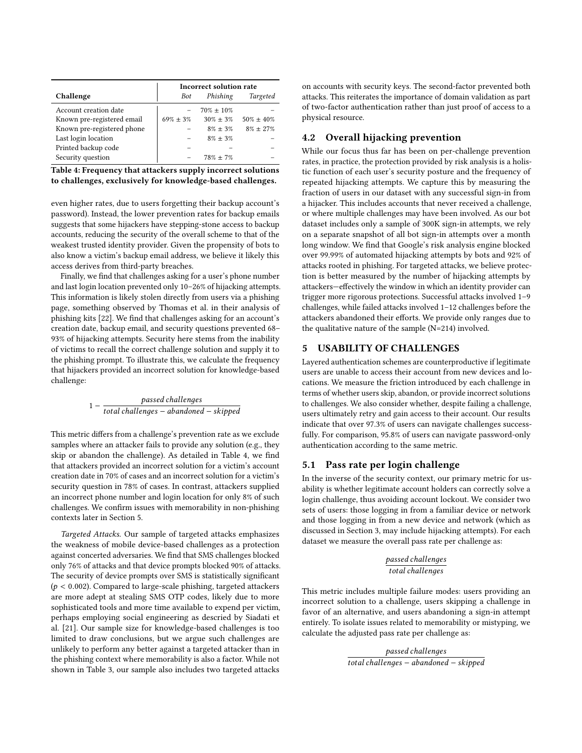<span id="page-6-0"></span>

|                            | Incorrect solution rate |                 |                 |  |  |  |  |
|----------------------------|-------------------------|-----------------|-----------------|--|--|--|--|
| Challenge                  | Bot                     | Phishing        | Targeted        |  |  |  |  |
| Account creation date      |                         | $70\% \pm 10\%$ |                 |  |  |  |  |
| Known pre-registered email | $69\% \pm 3\%$          | $30\% + 3\%$    | $50\% \pm 40\%$ |  |  |  |  |
| Known pre-registered phone |                         | $8\% + 3\%$     | $8\% + 27\%$    |  |  |  |  |
| Last login location        |                         | $8\% + 3\%$     |                 |  |  |  |  |
| Printed backup code        |                         |                 |                 |  |  |  |  |
| Security question          |                         | $78\% + 7\%$    |                 |  |  |  |  |

Table 4: Frequency that attackers supply incorrect solutions to challenges, exclusively for knowledge-based challenges.

even higher rates, due to users forgetting their backup account's password). Instead, the lower prevention rates for backup emails suggests that some hijackers have stepping-stone access to backup accounts, reducing the security of the overall scheme to that of the weakest trusted identity provider. Given the propensity of bots to also know a victim's backup email address, we believe it likely this access derives from third-party breaches.

Finally, we find that challenges asking for a user's phone number and last login location prevented only 10–26% of hijacking attempts. This information is likely stolen directly from users via a phishing page, something observed by Thomas et al. in their analysis of phishing kits [\[22\]](#page-10-1). We find that challenges asking for an account's creation date, backup email, and security questions prevented 68– 93% of hijacking attempts. Security here stems from the inability of victims to recall the correct challenge solution and supply it to the phishing prompt. To illustrate this, we calculate the frequency that hijackers provided an incorrect solution for knowledge-based challenge:

$$
1 - \frac{passed\ challenges}{total\ challenges - abandoned - skipped}
$$

This metric differs from a challenge's prevention rate as we exclude samples where an attacker fails to provide any solution (e.g., they skip or abandon the challenge). As detailed in Table [4,](#page-6-0) we find that attackers provided an incorrect solution for a victim's account creation date in 70% of cases and an incorrect solution for a victim's security question in 78% of cases. In contrast, attackers supplied an incorrect phone number and login location for only 8% of such challenges. We confirm issues with memorability in non-phishing contexts later in Section [5.](#page-6-1)

Targeted Attacks. Our sample of targeted attacks emphasizes the weakness of mobile device-based challenges as a protection against concerted adversaries. We find that SMS challenges blocked only 76% of attacks and that device prompts blocked 90% of attacks. The security of device prompts over SMS is statistically significant  $(p < 0.002)$ . Compared to large-scale phishing, targeted attackers are more adept at stealing SMS OTP codes, likely due to more sophisticated tools and more time available to expend per victim, perhaps employing social engineering as descried by Siadati et al. [\[21\]](#page-10-17). Our sample size for knowledge-based challenges is too limited to draw conclusions, but we argue such challenges are unlikely to perform any better against a targeted attacker than in the phishing context where memorability is also a factor. While not shown in Table [3,](#page-5-0) our sample also includes two targeted attacks

on accounts with security keys. The second-factor prevented both attacks. This reiterates the importance of domain validation as part of two-factor authentication rather than just proof of access to a physical resource.

#### 4.2 Overall hijacking prevention

While our focus thus far has been on per-challenge prevention rates, in practice, the protection provided by risk analysis is a holistic function of each user's security posture and the frequency of repeated hijacking attempts. We capture this by measuring the fraction of users in our dataset with any successful sign-in from a hijacker. This includes accounts that never received a challenge, or where multiple challenges may have been involved. As our bot dataset includes only a sample of 300K sign-in attempts, we rely on a separate snapshot of all bot sign-in attempts over a month long window. We find that Google's risk analysis engine blocked over 99.99% of automated hijacking attempts by bots and 92% of attacks rooted in phishing. For targeted attacks, we believe protection is better measured by the number of hijacking attempts by attackers—effectively the window in which an identity provider can trigger more rigorous protections. Successful attacks involved 1–9 challenges, while failed attacks involved 1–12 challenges before the attackers abandoned their efforts. We provide only ranges due to the qualitative nature of the sample (N=214) involved.

### <span id="page-6-1"></span>5 USABILITY OF CHALLENGES

Layered authentication schemes are counterproductive if legitimate users are unable to access their account from new devices and locations. We measure the friction introduced by each challenge in terms of whether users skip, abandon, or provide incorrect solutions to challenges. We also consider whether, despite failing a challenge, users ultimately retry and gain access to their account. Our results indicate that over 97.3% of users can navigate challenges successfully. For comparison, 95.8% of users can navigate password-only authentication according to the same metric.

#### 5.1 Pass rate per login challenge

In the inverse of the security context, our primary metric for usability is whether legitimate account holders can correctly solve a login challenge, thus avoiding account lockout. We consider two sets of users: those logging in from a familiar device or network and those logging in from a new device and network (which as discussed in Section [3,](#page-2-3) may include hijacking attempts). For each dataset we measure the overall pass rate per challenge as:

> $\frac{p}{1+t-1}$  challenges total challenдes

This metric includes multiple failure modes: users providing an incorrect solution to a challenge, users skipping a challenge in favor of an alternative, and users abandoning a sign-in attempt entirely. To isolate issues related to memorability or mistyping, we calculate the adjusted pass rate per challenge as:

passed challenдes total challenдes <sup>−</sup> abandoned <sup>−</sup> skipped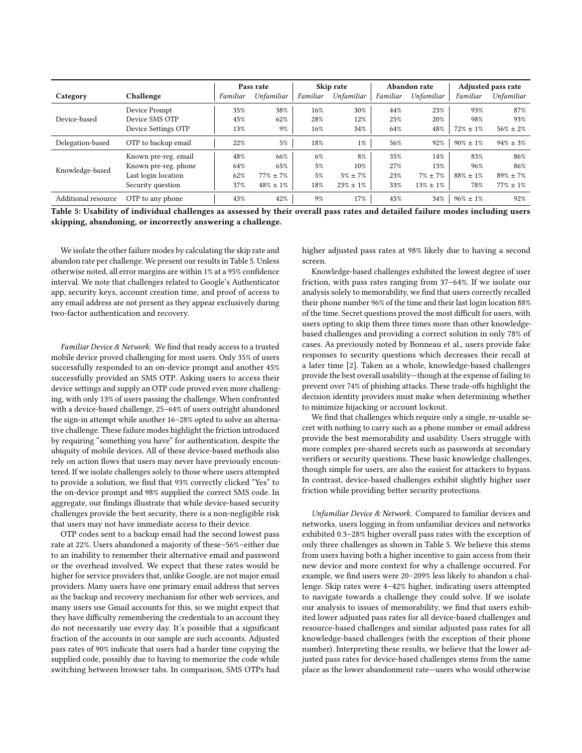<span id="page-7-0"></span>

|                     |                      |          | Pass rate      | Skip rate |                |          | Abandon rate   | Adjusted pass rate |                |
|---------------------|----------------------|----------|----------------|-----------|----------------|----------|----------------|--------------------|----------------|
| Category            | Challenge            | Familiar | Unfamiliar     | Familiar  | Unfamiliar     | Familiar | Unfamiliar     | Familiar           | Unfamiliar     |
|                     | Device Prompt        | 35%      | 38%            | 16%       | 30%            | 44%      | 23%            | 93%                | 87%            |
| Device-based        | Device SMS OTP       | 45%      | 62%            | 28%       | 12%            | 25%      | 20%            | 98%                | 93%            |
|                     | Device Settings OTP  | 13%      | 9%             | 16%       | 34%            | 64%      | 48%            | $72\% \pm 1\%$     | $56\% \pm 2\%$ |
| Delegation-based    | OTP to backup email  | 22%      | 5%             | 18%       | $1\%$          | 56%      | 92%            | $90\% \pm 1\%$     | $94\% \pm 3\%$ |
|                     | Known pre-reg. email | 48%      | 66%            | 6%        | 8%             | 35%      | 14%            | 83%                | 86%            |
| Knowledge-based     | Known pre-reg. phone | 64%      | 65%            | 5%        | $10\%$         | 27%      | 13%            | 96%                | 86%            |
|                     | Last login location  | 62%      | $77\% \pm 7\%$ | 5%        | $5\% \pm 7\%$  | 23%      | $7\% \pm 7\%$  | $88\% \pm 1\%$     | $89\% \pm 7\%$ |
|                     | Security question    | 37%      | $48\% \pm 1\%$ | 18%       | $23\% \pm 1\%$ | 33%      | $13\% \pm 1\%$ | 78%                | $77\% \pm 1\%$ |
| Additional resource | OTP to any phone     | 43%      | 42%            | 9%        | 17%            | 45%      | 34%            | $96\% \pm 1\%$     | 92%            |

Table 5: Usability of individual challenges as assessed by their overall pass rates and detailed failure modes including users skipping, abandoning, or incorrectly answering a challenge.

We isolate the other failure modes by calculating the skip rate and abandon rate per challenge. We present our results in Table [5.](#page-7-0) Unless otherwise noted, all error margins are within 1% at a 95% confidence interval. We note that challenges related to Google's Authenticator app, security keys, account creation time, and proof of access to any email address are not present as they appear exclusively during two-factor authentication and recovery.

Familiar Device & Network. We find that ready access to a trusted mobile device proved challenging for most users. Only 35% of users successfully responded to an on-device prompt and another 45% successfully provided an SMS OTP. Asking users to access their device settings and supply an OTP code proved even more challenging, with only 13% of users passing the challenge. When confronted with a device-based challenge, 25–64% of users outright abandoned the sign-in attempt while another 16–28% opted to solve an alternative challenge. These failure modes highlight the friction introduced by requiring "something you have" for authentication, despite the ubiquity of mobile devices. All of these device-based methods also rely on action flows that users may never have previously encountered. If we isolate challenges solely to those where users attempted to provide a solution, we find that 93% correctly clicked "Yes" to the on-device prompt and 98% supplied the correct SMS code. In aggregate, our findings illustrate that while device-based security challenges provide the best security, there is a non-negligible risk that users may not have immediate access to their device.

OTP codes sent to a backup email had the second lowest pass rate at 22%. Users abandoned a majority of these–56%–either due to an inability to remember their alternative email and password or the overhead involved. We expect that these rates would be higher for service providers that, unlike Google, are not major email providers. Many users have one primary email address that serves as the backup and recovery mechanism for other web services, and many users use Gmail accounts for this, so we might expect that they have difficulty remembering the credentials to an account they do not necessarily use every day. It's possible that a significant fraction of the accounts in our sample are such accounts. Adjusted pass rates of 90% indicate that users had a harder time copying the supplied code, possibly due to having to memorize the code while switching between browser tabs. In comparison, SMS OTPs had higher adjusted pass rates at 98% likely due to having a second screen.

Knowledge-based challenges exhibited the lowest degree of user friction, with pass rates ranging from 37–64%. If we isolate our analysis solely to memorability, we find that users correctly recalled their phone number 96% of the time and their last login location 88% of the time. Secret questions proved the most difficult for users, with users opting to skip them three times more than other knowledgebased challenges and providing a correct solution in only 78% of cases. As previously noted by Bonneau et al., users provide fake responses to security questions which decreases their recall at a later time [\[2\]](#page-10-13). Taken as a whole, knowledge-based challenges provide the best overall usability—though at the expense of failing to prevent over 74% of phishing attacks. These trade-offs highlight the decision identity providers must make when determining whether to minimize hijacking or account lockout.

We find that challenges which require only a single, re-usable secret with nothing to carry such as a phone number or email address provide the best memorability and usability. Users struggle with more complex pre-shared secrets such as passwords at secondary verifiers or security questions. These basic knowledge challenges, though simple for users, are also the easiest for attackers to bypass. In contrast, device-based challenges exhibit slightly higher user friction while providing better security protections.

Unfamiliar Device & Network. Compared to familiar devices and networks, users logging in from unfamiliar devices and networks exhibited 0.3–28% higher overall pass rates with the exception of only three challenges as shown in Table [5.](#page-7-0) We believe this stems from users having both a higher incentive to gain access from their new device and more context for why a challenge occurred. For example, we find users were 20–209% less likely to abandon a challenge. Skip rates were 4–42% higher, indicating users attempted to navigate towards a challenge they could solve. If we isolate our analysis to issues of memorability, we find that users exhibited lower adjusted pass rates for all device-based challenges and resource-based challenges and similar adjusted pass rates for all knowledge-based challenges (with the exception of their phone number). Interpreting these results, we believe that the lower adjusted pass rates for device-based challenges stems from the same place as the lower abandonment rate—users who would otherwise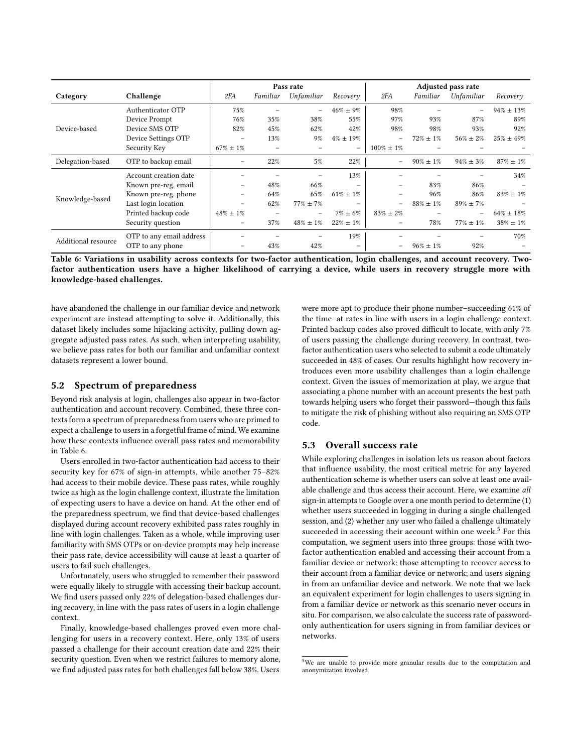<span id="page-8-0"></span>

|                     |                          |                          |                          | Pass rate      |                   |                          |                | Adjusted pass rate       |                 |
|---------------------|--------------------------|--------------------------|--------------------------|----------------|-------------------|--------------------------|----------------|--------------------------|-----------------|
| Category            | Challenge                | 2FA                      | Familiar                 | Unfamiliar     | Recovery          | 2FA                      | Familiar       | Unfamiliar               | Recovery        |
|                     | Authenticator OTP        | 75%                      |                          |                | $46\% \pm 9\%$    | 98%                      |                |                          | $94\% \pm 13\%$ |
|                     | Device Prompt            | 76%                      | 35%                      | 38%            | 55%               | 97%                      | 93%            | 87%                      | 89%             |
| Device-based        | Device SMS OTP           | 82%                      | 45%                      | 62%            | 42%               | 98%                      | 98%            | 93%                      | 92%             |
|                     | Device Settings OTP      | $\overline{\phantom{0}}$ | 13%                      | 9%             | $4\% \pm 19\%$    | $\overline{\phantom{a}}$ | $72\% \pm 1\%$ | $56\% \pm 2\%$           | $25\% \pm 49\%$ |
|                     | Security Key             | $67\% \pm 1\%$           | $\overline{\phantom{m}}$ |                | $\equiv$          | $100\% \pm 1\%$          | -              |                          |                 |
| Delegation-based    | OTP to backup email      |                          | 22%                      | 5%             | 22%               | $\overline{\phantom{m}}$ | $90\% \pm 1\%$ | $94\% \pm 3\%$           | $87\% \pm 1\%$  |
|                     | Account creation date    |                          |                          |                | 13%               |                          |                |                          | 34%             |
|                     | Known pre-reg. email     |                          | 48%                      | 66%            | $\qquad \qquad -$ | $\qquad \qquad =$        | 83%            | 86%                      |                 |
| Knowledge-based     | Known pre-reg. phone     |                          | 64%                      | 65%            | $61\% \pm 1\%$    |                          | 96%            | 86%                      | $83\% \pm 1\%$  |
|                     | Last login location      |                          | 62%                      | $77\% \pm 7\%$ |                   |                          | $88\% \pm 1\%$ | $89\% \pm 7\%$           |                 |
|                     | Printed backup code      | $48\% \pm 1\%$           |                          |                | $7\% \pm 6\%$     | $83\% \pm 2\%$           |                | $\overline{\phantom{0}}$ | $64\% \pm 18\%$ |
|                     | Security question        |                          | 37%                      | $48\% \pm 1\%$ | $22\% \pm 1\%$    |                          | 78%            | $77\% \pm 1\%$           | $38\% \pm 1\%$  |
| Additional resource | OTP to any email address |                          |                          |                | 19%               |                          |                |                          | 70%             |
|                     | OTP to any phone         |                          | 43%                      | 42%            | $\qquad \qquad =$ |                          | $96\% \pm 1\%$ | 92%                      |                 |

Table 6: Variations in usability across contexts for two-factor authentication, login challenges, and account recovery. Twofactor authentication users have a higher likelihood of carrying a device, while users in recovery struggle more with knowledge-based challenges.

have abandoned the challenge in our familiar device and network experiment are instead attempting to solve it. Additionally, this dataset likely includes some hijacking activity, pulling down aggregate adjusted pass rates. As such, when interpreting usability, we believe pass rates for both our familiar and unfamiliar context datasets represent a lower bound.

## 5.2 Spectrum of preparedness

Beyond risk analysis at login, challenges also appear in two-factor authentication and account recovery. Combined, these three contexts form a spectrum of preparedness from users who are primed to expect a challenge to users in a forgetful frame of mind. We examine how these contexts influence overall pass rates and memorability in Table [6.](#page-8-0)

Users enrolled in two-factor authentication had access to their security key for 67% of sign-in attempts, while another 75–82% had access to their mobile device. These pass rates, while roughly twice as high as the login challenge context, illustrate the limitation of expecting users to have a device on hand. At the other end of the preparedness spectrum, we find that device-based challenges displayed during account recovery exhibited pass rates roughly in line with login challenges. Taken as a whole, while improving user familiarity with SMS OTPs or on-device prompts may help increase their pass rate, device accessibility will cause at least a quarter of users to fail such challenges.

Unfortunately, users who struggled to remember their password were equally likely to struggle with accessing their backup account. We find users passed only 22% of delegation-based challenges during recovery, in line with the pass rates of users in a login challenge context.

Finally, knowledge-based challenges proved even more challenging for users in a recovery context. Here, only 13% of users passed a challenge for their account creation date and 22% their security question. Even when we restrict failures to memory alone, we find adjusted pass rates for both challenges fall below 38%. Users

were more apt to produce their phone number–succeeding 61% of the time–at rates in line with users in a login challenge context. Printed backup codes also proved difficult to locate, with only 7% of users passing the challenge during recovery. In contrast, twofactor authentication users who selected to submit a code ultimately succeeded in 48% of cases. Our results highlight how recovery introduces even more usability challenges than a login challenge context. Given the issues of memorization at play, we argue that associating a phone number with an account presents the best path towards helping users who forget their password—though this fails to mitigate the risk of phishing without also requiring an SMS OTP code.

## 5.3 Overall success rate

While exploring challenges in isolation lets us reason about factors that influence usability, the most critical metric for any layered authentication scheme is whether users can solve at least one available challenge and thus access their account. Here, we examine all sign-in attempts to Google over a one month period to determine (1) whether users succeeded in logging in during a single challenged session, and (2) whether any user who failed a challenge ultimately succeeded in accessing their account within one week.<sup>[5](#page-8-1)</sup> For this computation, we segment users into three groups: those with twofactor authentication enabled and accessing their account from a familiar device or network; those attempting to recover access to their account from a familiar device or network; and users signing in from an unfamiliar device and network. We note that we lack an equivalent experiment for login challenges to users signing in from a familiar device or network as this scenario never occurs in situ. For comparison, we also calculate the success rate of passwordonly authentication for users signing in from familiar devices or networks.

<span id="page-8-1"></span><sup>5</sup>We are unable to provide more granular results due to the computation and anonymization involved.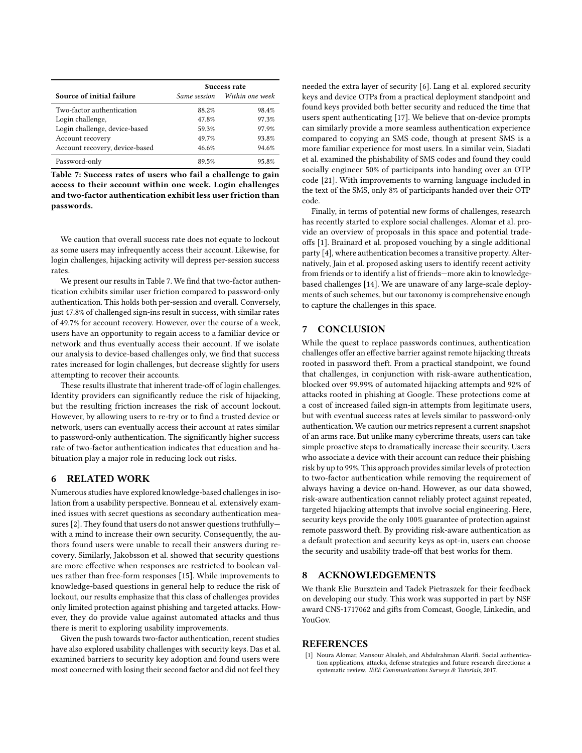<span id="page-9-0"></span>

|                                | Success rate |                 |  |  |  |
|--------------------------------|--------------|-----------------|--|--|--|
| Source of initial failure      | Same session | Within one week |  |  |  |
| Two-factor authentication      | 88.2%        | 98.4%           |  |  |  |
| Login challenge,               | 47.8%        | 97.3%           |  |  |  |
| Login challenge, device-based  | 59.3%        | 97.9%           |  |  |  |
| Account recovery               | 49.7%        | 93.8%           |  |  |  |
| Account recovery, device-based | 46.6%        | 94.6%           |  |  |  |
| Password-only                  | 89.5%        | 95.8%           |  |  |  |

Table 7: Success rates of users who fail a challenge to gain access to their account within one week. Login challenges and two-factor authentication exhibit less user friction than passwords.

We caution that overall success rate does not equate to lockout as some users may infrequently access their account. Likewise, for login challenges, hijacking activity will depress per-session success rates.

We present our results in Table [7.](#page-9-0) We find that two-factor authentication exhibits similar user friction compared to password-only authentication. This holds both per-session and overall. Conversely, just 47.8% of challenged sign-ins result in success, with similar rates of 49.7% for account recovery. However, over the course of a week, users have an opportunity to regain access to a familiar device or network and thus eventually access their account. If we isolate our analysis to device-based challenges only, we find that success rates increased for login challenges, but decrease slightly for users attempting to recover their accounts.

These results illustrate that inherent trade-off of login challenges. Identity providers can significantly reduce the risk of hijacking, but the resulting friction increases the risk of account lockout. However, by allowing users to re-try or to find a trusted device or network, users can eventually access their account at rates similar to password-only authentication. The significantly higher success rate of two-factor authentication indicates that education and habituation play a major role in reducing lock out risks.

## 6 RELATED WORK

Numerous studies have explored knowledge-based challenges in isolation from a usability perspective. Bonneau et al. extensively examined issues with secret questions as secondary authentication measures [\[2\]](#page-10-13). They found that users do not answer questions truthfully with a mind to increase their own security. Consequently, the authors found users were unable to recall their answers during recovery. Similarly, Jakobsson et al. showed that security questions are more effective when responses are restricted to boolean values rather than free-form responses [\[15\]](#page-10-18). While improvements to knowledge-based questions in general help to reduce the risk of lockout, our results emphasize that this class of challenges provides only limited protection against phishing and targeted attacks. However, they do provide value against automated attacks and thus there is merit to exploring usability improvements.

Given the push towards two-factor authentication, recent studies have also explored usability challenges with security keys. Das et al. examined barriers to security key adoption and found users were most concerned with losing their second factor and did not feel they needed the extra layer of security [\[6\]](#page-10-19). Lang et al. explored security keys and device OTPs from a practical deployment standpoint and found keys provided both better security and reduced the time that users spent authenticating [\[17\]](#page-10-20). We believe that on-device prompts can similarly provide a more seamless authentication experience compared to copying an SMS code, though at present SMS is a more familiar experience for most users. In a similar vein, Siadati et al. examined the phishability of SMS codes and found they could socially engineer 50% of participants into handing over an OTP code [\[21\]](#page-10-17). With improvements to warning language included in the text of the SMS, only 8% of participants handed over their OTP code.

Finally, in terms of potential new forms of challenges, research has recently started to explore social challenges. Alomar et al. provide an overview of proposals in this space and potential tradeoffs [\[1\]](#page-9-1). Brainard et al. proposed vouching by a single additional party [\[4\]](#page-10-21), where authentication becomes a transitive property. Alternatively, Jain et al. proposed asking users to identify recent activity from friends or to identify a list of friends—more akin to knowledgebased challenges [\[14\]](#page-10-22). We are unaware of any large-scale deployments of such schemes, but our taxonomy is comprehensive enough to capture the challenges in this space.

## 7 CONCLUSION

While the quest to replace passwords continues, authentication challenges offer an effective barrier against remote hijacking threats rooted in password theft. From a practical standpoint, we found that challenges, in conjunction with risk-aware authentication, blocked over 99.99% of automated hijacking attempts and 92% of attacks rooted in phishing at Google. These protections come at a cost of increased failed sign-in attempts from legitimate users, but with eventual success rates at levels similar to password-only authentication. We caution our metrics represent a current snapshot of an arms race. But unlike many cybercrime threats, users can take simple proactive steps to dramatically increase their security. Users who associate a device with their account can reduce their phishing risk by up to 99%. This approach provides similar levels of protection to two-factor authentication while removing the requirement of always having a device on-hand. However, as our data showed, risk-aware authentication cannot reliably protect against repeated, targeted hijacking attempts that involve social engineering. Here, security keys provide the only 100% guarantee of protection against remote password theft. By providing risk-aware authentication as a default protection and security keys as opt-in, users can choose the security and usability trade-off that best works for them.

## 8 ACKNOWLEDGEMENTS

We thank Elie Bursztein and Tadek Pietraszek for their feedback on developing our study. This work was supported in part by NSF award CNS-1717062 and gifts from Comcast, Google, Linkedin, and YouGov.

#### REFERENCES

<span id="page-9-1"></span>[1] Noura Alomar, Mansour Alsaleh, and Abdulrahman Alarifi. Social authentication applications, attacks, defense strategies and future research directions: a systematic review. IEEE Communications Surveys & Tutorials, 2017.